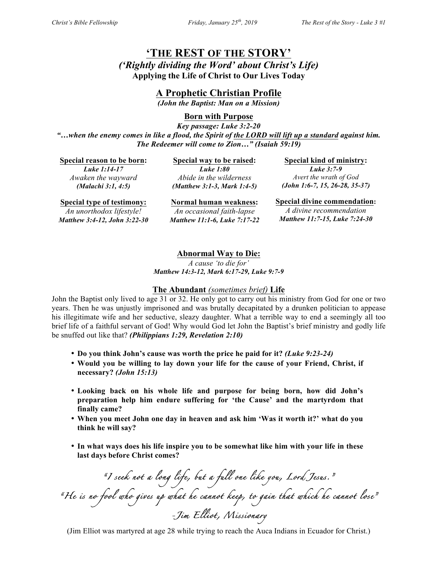## **'THE REST OF THE STORY'**

*('Rightly dividing the Word' about Christ's Life)* **Applying the Life of Christ to Our Lives Today**

**A Prophetic Christian Profile**

*(John the Baptist: Man on a Mission)*

**Born with Purpose**

*Key passage: Luke 3:2-20 "…when the enemy comes in like a flood, the Spirit of the LORD will lift up a standard against him. The Redeemer will come to Zion…" (Isaiah 59:19)*

**Special reason to be born:** *Luke 1:14-17 Awaken the wayward (Malachi 3:1, 4:5)*

**Special way to be raised:** *Luke 1:80 Abide in the wilderness (Matthew 3:1-3, Mark 1:4-5)*

**Special kind of ministry:** *Luke 3:7-9 Avert the wrath of God (John 1:6-7, 15, 26-28, 35-37)*

**Special type of testimony:** *An unorthodox lifestyle!*

*Matthew 3:4-12, John 3:22-30*

**Normal human weakness:** *An occasional faith-lapse Matthew 11:1-6, Luke 7:17-22* **Special divine commendation:** *A divine recommendation Matthew 11:7-15, Luke 7:24-30*

## **Abnormal Way to Die:**

*A cause 'to die for' Matthew 14:3-12, Mark 6:17-29, Luke 9:7-9*

## **The Abundant** *(sometimes brief)* **Life**

John the Baptist only lived to age 31 or 32. He only got to carry out his ministry from God for one or two years. Then he was unjustly imprisoned and was brutally decapitated by a drunken politician to appease his illegitimate wife and her seductive, sleazy daughter. What a terrible way to end a seemingly all too brief life of a faithful servant of God! Why would God let John the Baptist's brief ministry and godly life be snuffed out like that? *(Philippians 1:29, Revelation 2:10)*

- **Do you think John's cause was worth the price he paid for it?** *(Luke 9:23-24)*
- **Would you be willing to lay down your life for the cause of your Friend, Christ, if necessary?** *(John 15:13)*
- **Looking back on his whole life and purpose for being born, how did John's preparation help him endure suffering for 'the Cause' and the martyrdom that finally came?**
- **When you meet John one day in heaven and ask him 'Was it worth it?' what do you think he will say?**
- **In what ways does his life inspire you to be somewhat like him with your life in these last days before Christ comes?**

*"I seek not a long life, but a full one like you, Lord Jesus." "He is no fool who gives up what he cannot keep, to gain that which he cannot lose" -Jim Elliot, Missionary* 

(Jim Elliot was martyred at age 28 while trying to reach the Auca Indians in Ecuador for Christ.)